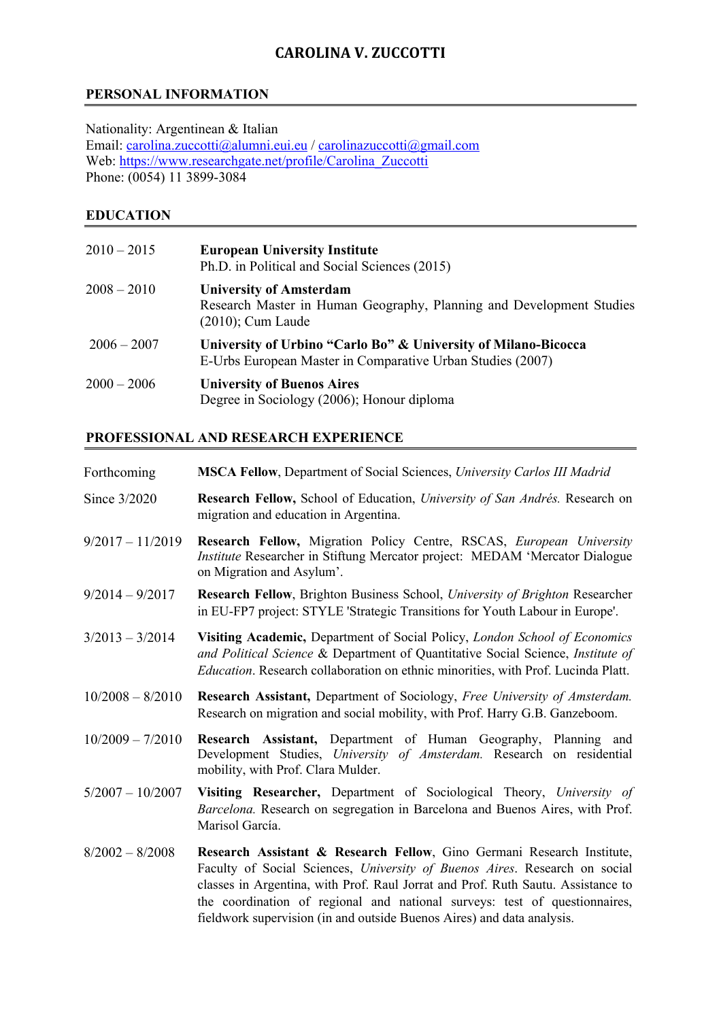## **CAROLINA V. ZUCCOTTI**

## **PERSONAL INFORMATION**

Nationality: Argentinean & Italian Email: carolina.zuccotti@alumni.eui.eu / carolinazuccotti@gmail.com Web: https://www.researchgate.net/profile/Carolina\_Zuccotti Phone: (0054) 11 3899-3084

#### **EDUCATION**

| $2010 - 2015$ | <b>European University Institute</b><br>Ph.D. in Political and Social Sciences (2015)                                          |
|---------------|--------------------------------------------------------------------------------------------------------------------------------|
| $2008 - 2010$ | <b>University of Amsterdam</b><br>Research Master in Human Geography, Planning and Development Studies<br>$(2010)$ ; Cum Laude |
| $2006 - 2007$ | University of Urbino "Carlo Bo" & University of Milano-Bicocca<br>E-Urbs European Master in Comparative Urban Studies (2007)   |
| $2000 - 2006$ | <b>University of Buenos Aires</b><br>Degree in Sociology (2006); Honour diploma                                                |

#### **PROFESSIONAL AND RESEARCH EXPERIENCE**

| Forthcoming        | MSCA Fellow, Department of Social Sciences, University Carlos III Madrid                                                                                                                                                                                                                                                                                                                         |
|--------------------|--------------------------------------------------------------------------------------------------------------------------------------------------------------------------------------------------------------------------------------------------------------------------------------------------------------------------------------------------------------------------------------------------|
| Since 3/2020       | Research Fellow, School of Education, University of San Andrés. Research on<br>migration and education in Argentina.                                                                                                                                                                                                                                                                             |
| $9/2017 - 11/2019$ | Research Fellow, Migration Policy Centre, RSCAS, European University<br>Institute Researcher in Stiftung Mercator project: MEDAM 'Mercator Dialogue<br>on Migration and Asylum'.                                                                                                                                                                                                                 |
| $9/2014 - 9/2017$  | Research Fellow, Brighton Business School, University of Brighton Researcher<br>in EU-FP7 project: STYLE 'Strategic Transitions for Youth Labour in Europe'.                                                                                                                                                                                                                                     |
| $3/2013 - 3/2014$  | Visiting Academic, Department of Social Policy, London School of Economics<br>and Political Science & Department of Quantitative Social Science, Institute of<br>Education. Research collaboration on ethnic minorities, with Prof. Lucinda Platt.                                                                                                                                               |
| $10/2008 - 8/2010$ | Research Assistant, Department of Sociology, Free University of Amsterdam.<br>Research on migration and social mobility, with Prof. Harry G.B. Ganzeboom.                                                                                                                                                                                                                                        |
| $10/2009 - 7/2010$ | Research Assistant, Department of Human Geography, Planning and<br>Development Studies, University of Amsterdam. Research on residential<br>mobility, with Prof. Clara Mulder.                                                                                                                                                                                                                   |
| $5/2007 - 10/2007$ | Visiting Researcher, Department of Sociological Theory, University of<br>Barcelona. Research on segregation in Barcelona and Buenos Aires, with Prof.<br>Marisol García.                                                                                                                                                                                                                         |
| $8/2002 - 8/2008$  | Research Assistant & Research Fellow, Gino Germani Research Institute,<br>Faculty of Social Sciences, University of Buenos Aires. Research on social<br>classes in Argentina, with Prof. Raul Jorrat and Prof. Ruth Sautu. Assistance to<br>the coordination of regional and national surveys: test of questionnaires,<br>fieldwork supervision (in and outside Buenos Aires) and data analysis. |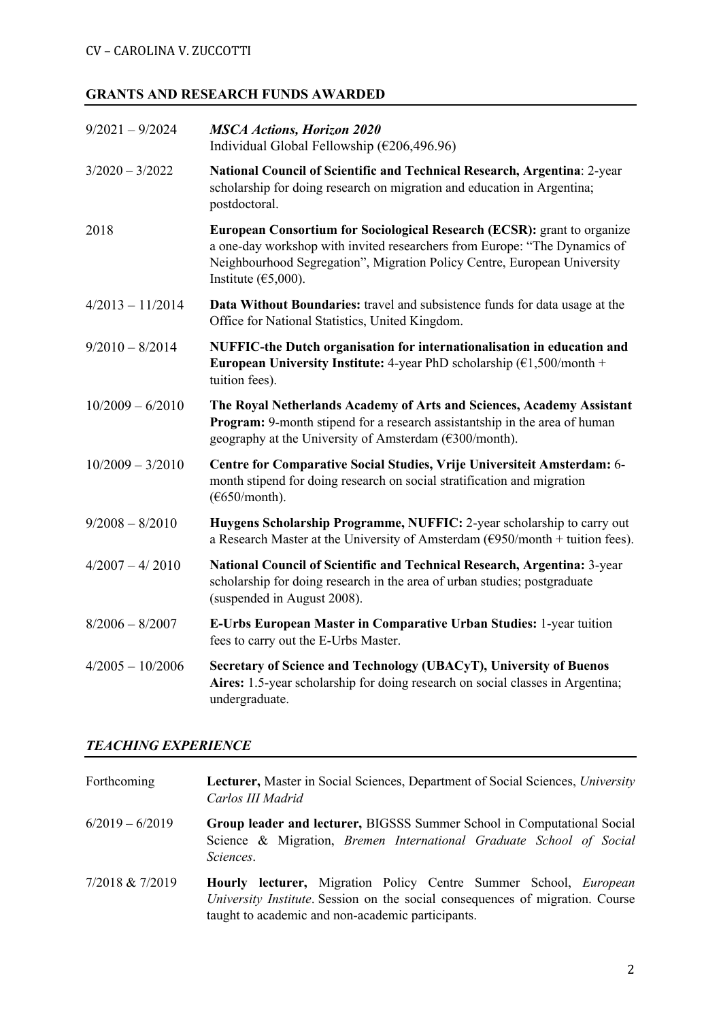# **GRANTS AND RESEARCH FUNDS AWARDED**

| $9/2021 - 9/2024$  | <b>MSCA Actions, Horizon 2020</b><br>Individual Global Fellowship ( $\epsilon$ 206,496.96)                                                                                                                                                                         |
|--------------------|--------------------------------------------------------------------------------------------------------------------------------------------------------------------------------------------------------------------------------------------------------------------|
| $3/2020 - 3/2022$  | National Council of Scientific and Technical Research, Argentina: 2-year<br>scholarship for doing research on migration and education in Argentina;<br>postdoctoral.                                                                                               |
| 2018               | European Consortium for Sociological Research (ECSR): grant to organize<br>a one-day workshop with invited researchers from Europe: "The Dynamics of<br>Neighbourhood Segregation", Migration Policy Centre, European University<br>Institute ( $\epsilon$ 5,000). |
| $4/2013 - 11/2014$ | Data Without Boundaries: travel and subsistence funds for data usage at the<br>Office for National Statistics, United Kingdom.                                                                                                                                     |
| $9/2010 - 8/2014$  | NUFFIC-the Dutch organisation for internationalisation in education and<br>European University Institute: 4-year PhD scholarship $(\text{\textsterling}1,500/\text{month} +$<br>tuition fees).                                                                     |
| $10/2009 - 6/2010$ | The Royal Netherlands Academy of Arts and Sciences, Academy Assistant<br>Program: 9-month stipend for a research assistantship in the area of human<br>geography at the University of Amsterdam (€300/month).                                                      |
| $10/2009 - 3/2010$ | Centre for Comparative Social Studies, Vrije Universiteit Amsterdam: 6-<br>month stipend for doing research on social stratification and migration<br>$(\text{\textsterling}650/month).$                                                                           |
| $9/2008 - 8/2010$  | Huygens Scholarship Programme, NUFFIC: 2-year scholarship to carry out<br>a Research Master at the University of Amsterdam ( $\epsilon$ 950/month + tuition fees).                                                                                                 |
| $4/2007 - 4/2010$  | National Council of Scientific and Technical Research, Argentina: 3-year<br>scholarship for doing research in the area of urban studies; postgraduate<br>(suspended in August 2008).                                                                               |
| $8/2006 - 8/2007$  | E-Urbs European Master in Comparative Urban Studies: 1-year tuition<br>fees to carry out the E-Urbs Master.                                                                                                                                                        |
| $4/2005 - 10/2006$ | Secretary of Science and Technology (UBACyT), University of Buenos<br>Aires: 1.5-year scholarship for doing research on social classes in Argentina;<br>undergraduate.                                                                                             |

#### *TEACHING EXPERIENCE*

| Forthcoming       | <b>Lecturer, Master in Social Sciences, Department of Social Sciences, University</b><br>Carlos III Madrid                                                                                                           |
|-------------------|----------------------------------------------------------------------------------------------------------------------------------------------------------------------------------------------------------------------|
| $6/2019 - 6/2019$ | Group leader and lecturer, BIGSSS Summer School in Computational Social<br>Science & Migration, Bremen International Graduate School of Social<br>Sciences.                                                          |
| 7/2018 & 7/2019   | <b>Hourly lecturer,</b> Migration Policy Centre Summer School, <i>European</i><br>University Institute. Session on the social consequences of migration. Course<br>taught to academic and non-academic participants. |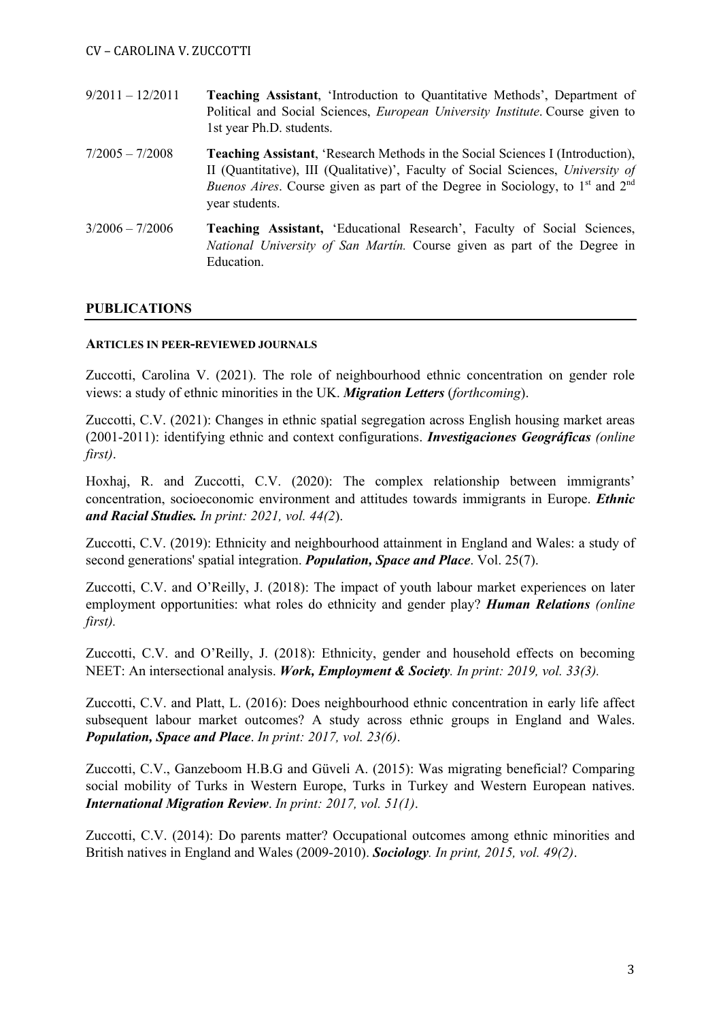- 9/2011 12/2011 **Teaching Assistant**, 'Introduction to Quantitative Methods', Department of Political and Social Sciences, *European University Institute*. Course given to 1st year Ph.D. students. 7/2005 – 7/2008 **Teaching Assistant**, 'Research Methods in the Social Sciences I (Introduction), II (Quantitative), III (Qualitative)', Faculty of Social Sciences, *University of Buenos Aires*. Course given as part of the Degree in Sociology, to 1<sup>st</sup> and 2<sup>nd</sup> year students.
- 3/2006 7/2006 **Teaching Assistant,** 'Educational Research', Faculty of Social Sciences, *National University of San Martín.* Course given as part of the Degree in Education.

#### **PUBLICATIONS**

#### **ARTICLES IN PEER-REVIEWED JOURNALS**

Zuccotti, Carolina V. (2021). The role of neighbourhood ethnic concentration on gender role views: a study of ethnic minorities in the UK. *Migration Letters* (*forthcoming*).

Zuccotti, C.V. (2021): Changes in ethnic spatial segregation across English housing market areas (2001-2011): identifying ethnic and context configurations. *Investigaciones Geográficas (online first)*.

Hoxhaj, R. and Zuccotti, C.V. (2020): The complex relationship between immigrants' concentration, socioeconomic environment and attitudes towards immigrants in Europe. *Ethnic and Racial Studies. In print: 2021, vol. 44(2*).

Zuccotti, C.V. (2019): Ethnicity and neighbourhood attainment in England and Wales: a study of second generations' spatial integration. *Population, Space and Place*. Vol. 25(7).

Zuccotti, C.V. and O'Reilly, J. (2018): The impact of youth labour market experiences on later employment opportunities: what roles do ethnicity and gender play? *Human Relations (online first).*

Zuccotti, C.V. and O'Reilly, J. (2018): Ethnicity, gender and household effects on becoming NEET: An intersectional analysis. *Work, Employment & Society. In print: 2019, vol. 33(3).*

Zuccotti, C.V. and Platt, L. (2016): Does neighbourhood ethnic concentration in early life affect subsequent labour market outcomes? A study across ethnic groups in England and Wales. *Population, Space and Place*. *In print: 2017, vol. 23(6)*.

Zuccotti, C.V., Ganzeboom H.B.G and Güveli A. (2015): Was migrating beneficial? Comparing social mobility of Turks in Western Europe, Turks in Turkey and Western European natives. *International Migration Review*. *In print: 2017, vol. 51(1)*.

Zuccotti, C.V. (2014): Do parents matter? Occupational outcomes among ethnic minorities and British natives in England and Wales (2009-2010). *Sociology. In print, 2015, vol. 49(2)*.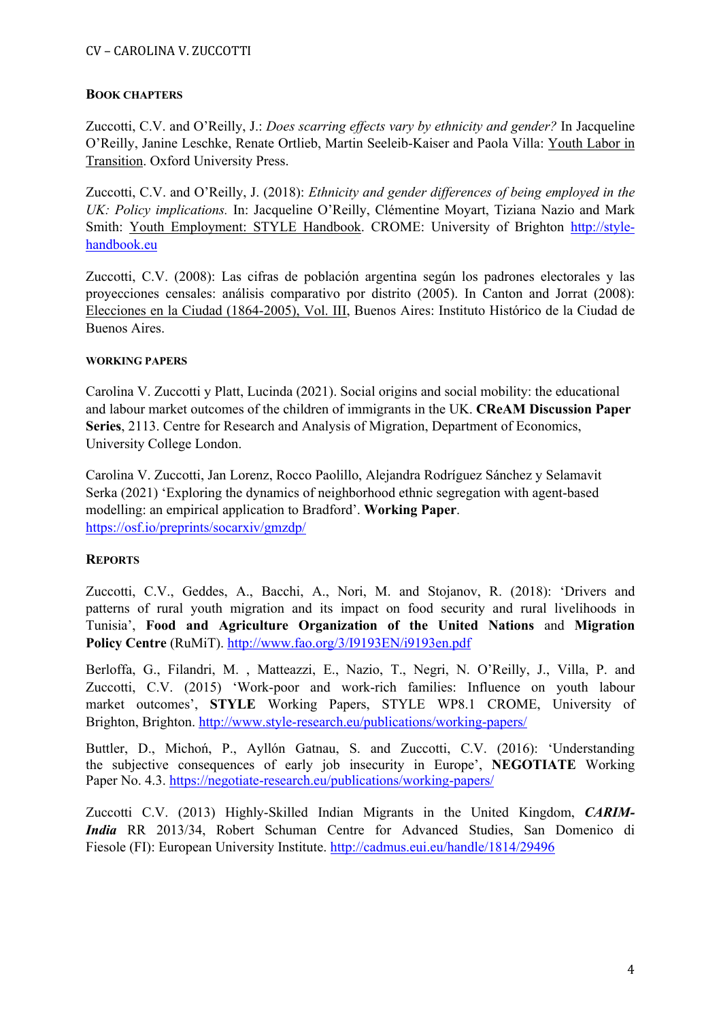#### CV – CAROLINA V. ZUCCOTTI

#### **BOOK CHAPTERS**

Zuccotti, C.V. and O'Reilly, J.: *Does scarring effects vary by ethnicity and gender?* In Jacqueline O'Reilly, Janine Leschke, Renate Ortlieb, Martin Seeleib-Kaiser and Paola Villa: Youth Labor in Transition. Oxford University Press.

Zuccotti, C.V. and O'Reilly, J. (2018): *Ethnicity and gender differences of being employed in the UK: Policy implications.* In: Jacqueline O'Reilly, Clémentine Moyart, Tiziana Nazio and Mark Smith: Youth Employment: STYLE Handbook. CROME: University of Brighton http://stylehandbook.eu

Zuccotti, C.V. (2008): Las cifras de población argentina según los padrones electorales y las proyecciones censales: análisis comparativo por distrito (2005). In Canton and Jorrat (2008): Elecciones en la Ciudad (1864-2005), Vol. III, Buenos Aires: Instituto Histórico de la Ciudad de Buenos Aires.

#### **WORKING PAPERS**

Carolina V. Zuccotti y Platt, Lucinda (2021). Social origins and social mobility: the educational and labour market outcomes of the children of immigrants in the UK. **CReAM Discussion Paper Series**, 2113. Centre for Research and Analysis of Migration, Department of Economics, University College London.

Carolina V. Zuccotti, Jan Lorenz, Rocco Paolillo, Alejandra Rodríguez Sánchez y Selamavit Serka (2021) 'Exploring the dynamics of neighborhood ethnic segregation with agent-based modelling: an empirical application to Bradford'. **Working Paper**. https://osf.io/preprints/socarxiv/gmzdp/

#### **REPORTS**

Zuccotti, C.V., Geddes, A., Bacchi, A., Nori, M. and Stojanov, R. (2018): 'Drivers and patterns of rural youth migration and its impact on food security and rural livelihoods in Tunisia', **Food and Agriculture Organization of the United Nations** and **Migration Policy Centre** (RuMiT). http://www.fao.org/3/I9193EN/i9193en.pdf

Berloffa, G., Filandri, M. , Matteazzi, E., Nazio, T., Negri, N. O'Reilly, J., Villa, P. and Zuccotti, C.V. (2015) 'Work-poor and work-rich families: Influence on youth labour market outcomes', **STYLE** Working Papers, STYLE WP8.1 CROME, University of Brighton, Brighton. http://www.style-research.eu/publications/working-papers/

Buttler, D., Michoń, P., Ayllón Gatnau, S. and Zuccotti, C.V. (2016): 'Understanding the subjective consequences of early job insecurity in Europe', **NEGOTIATE** Working Paper No. 4.3. https://negotiate-research.eu/publications/working-papers/

Zuccotti C.V. (2013) Highly-Skilled Indian Migrants in the United Kingdom, *CARIM-India* RR 2013/34, Robert Schuman Centre for Advanced Studies, San Domenico di Fiesole (FI): European University Institute. http://cadmus.eui.eu/handle/1814/29496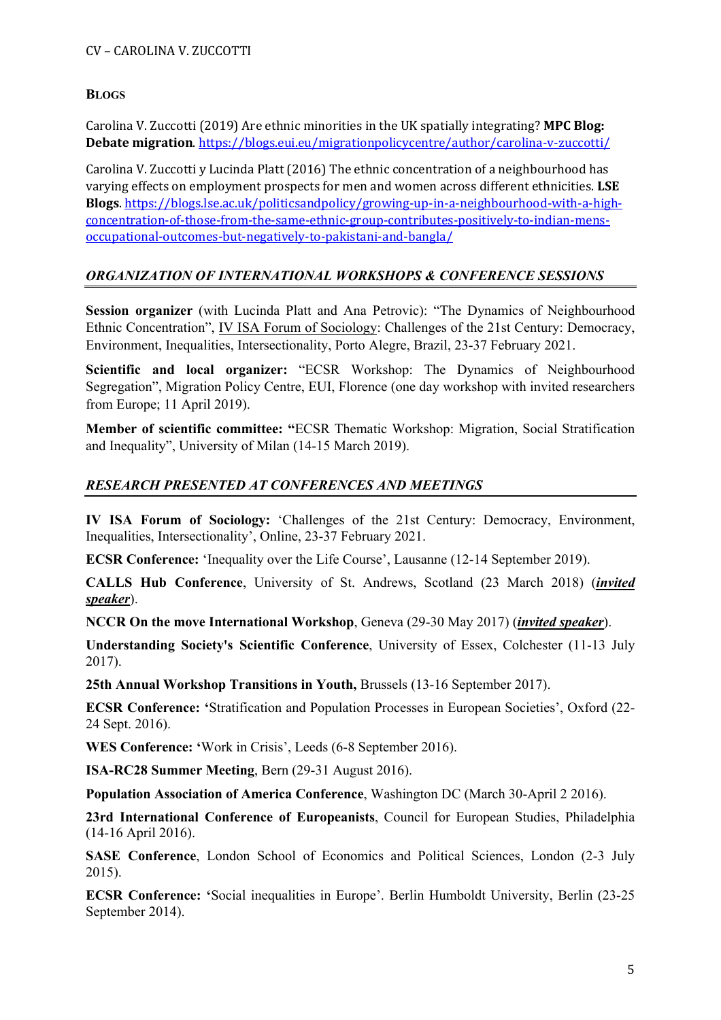#### **BLOGS**

Carolina V. Zuccotti (2019) Are ethnic minorities in the UK spatially integrating? **MPC Blog: Debate migration.** https://blogs.eui.eu/migrationpolicycentre/author/carolina-v-zuccotti/

Carolina V. Zuccotti y Lucinda Platt (2016) The ethnic concentration of a neighbourhood has varying effects on employment prospects for men and women across different ethnicities. LSE **Blogs**. https://blogs.lse.ac.uk/politicsandpolicy/growing-up-in-a-neighbourhood-with-a-highconcentration-of-those-from-the-same-ethnic-group-contributes-positively-to-indian-mensoccupational-outcomes-but-negatively-to-pakistani-and-bangla/

#### *ORGANIZATION OF INTERNATIONAL WORKSHOPS & CONFERENCE SESSIONS*

**Session organizer** (with Lucinda Platt and Ana Petrovic): "The Dynamics of Neighbourhood Ethnic Concentration", IV ISA Forum of Sociology: Challenges of the 21st Century: Democracy, Environment, Inequalities, Intersectionality, Porto Alegre, Brazil, 23-37 February 2021.

**Scientific and local organizer:** "ECSR Workshop: The Dynamics of Neighbourhood Segregation", Migration Policy Centre, EUI, Florence (one day workshop with invited researchers from Europe; 11 April 2019).

**Member of scientific committee: "**ECSR Thematic Workshop: Migration, Social Stratification and Inequality", University of Milan (14-15 March 2019).

## *RESEARCH PRESENTED AT CONFERENCES AND MEETINGS*

**IV ISA Forum of Sociology:** 'Challenges of the 21st Century: Democracy, Environment, Inequalities, Intersectionality', Online, 23-37 February 2021.

**ECSR Conference:** 'Inequality over the Life Course', Lausanne (12-14 September 2019).

**CALLS Hub Conference**, University of St. Andrews, Scotland (23 March 2018) (*invited speaker*).

**NCCR On the move International Workshop**, Geneva (29-30 May 2017) (*invited speaker*).

**Understanding Society's Scientific Conference**, University of Essex, Colchester (11-13 July 2017).

**25th Annual Workshop Transitions in Youth,** Brussels (13-16 September 2017).

**ECSR Conference: '**Stratification and Population Processes in European Societies', Oxford (22- 24 Sept. 2016).

**WES Conference: '**Work in Crisis', Leeds (6-8 September 2016).

**ISA-RC28 Summer Meeting**, Bern (29-31 August 2016).

**Population Association of America Conference**, Washington DC (March 30-April 2 2016).

**23rd International Conference of Europeanists**, Council for European Studies, Philadelphia (14-16 April 2016).

**SASE Conference**, London School of Economics and Political Sciences, London (2-3 July 2015).

**ECSR Conference: '**Social inequalities in Europe'. Berlin Humboldt University, Berlin (23-25 September 2014).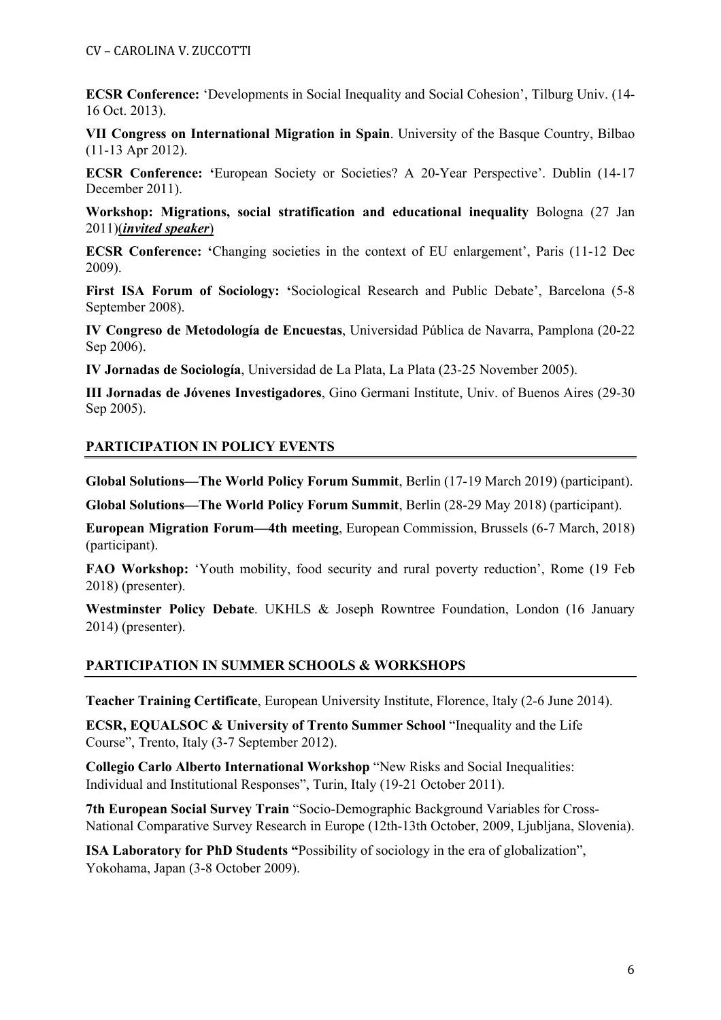**ECSR Conference:** 'Developments in Social Inequality and Social Cohesion', Tilburg Univ. (14- 16 Oct. 2013).

**VII Congress on International Migration in Spain**. University of the Basque Country, Bilbao (11-13 Apr 2012).

**ECSR Conference: '**European Society or Societies? A 20-Year Perspective'. Dublin (14-17 December 2011).

**Workshop: Migrations, social stratification and educational inequality** Bologna (27 Jan 2011)(*invited speaker*)

**ECSR Conference: '**Changing societies in the context of EU enlargement', Paris (11-12 Dec 2009).

**First ISA Forum of Sociology: '**Sociological Research and Public Debate', Barcelona (5-8 September 2008).

**IV Congreso de Metodología de Encuestas**, Universidad Pública de Navarra, Pamplona (20-22 Sep 2006).

**IV Jornadas de Sociología**, Universidad de La Plata, La Plata (23-25 November 2005).

**III Jornadas de Jóvenes Investigadores**, Gino Germani Institute, Univ. of Buenos Aires (29-30 Sep 2005).

## **PARTICIPATION IN POLICY EVENTS**

**Global Solutions—The World Policy Forum Summit**, Berlin (17-19 March 2019) (participant).

**Global Solutions—The World Policy Forum Summit**, Berlin (28-29 May 2018) (participant).

**European Migration Forum—4th meeting**, European Commission, Brussels (6-7 March, 2018) (participant).

**FAO Workshop:** 'Youth mobility, food security and rural poverty reduction', Rome (19 Feb 2018) (presenter).

**Westminster Policy Debate**. UKHLS & Joseph Rowntree Foundation, London (16 January 2014) (presenter).

#### **PARTICIPATION IN SUMMER SCHOOLS & WORKSHOPS**

**Teacher Training Certificate**, European University Institute, Florence, Italy (2-6 June 2014).

**ECSR, EQUALSOC & University of Trento Summer School** "Inequality and the Life Course", Trento, Italy (3-7 September 2012).

**Collegio Carlo Alberto International Workshop** "New Risks and Social Inequalities: Individual and Institutional Responses", Turin, Italy (19-21 October 2011).

**7th European Social Survey Train** "Socio-Demographic Background Variables for Cross-National Comparative Survey Research in Europe (12th-13th October, 2009, Ljubljana, Slovenia).

**ISA Laboratory for PhD Students "**Possibility of sociology in the era of globalization", Yokohama, Japan (3-8 October 2009).